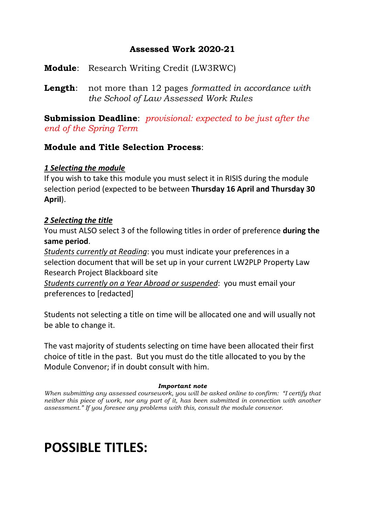# **Assessed Work 2020-21**

**Module**: Research Writing Credit (LW3RWC)

**Length**: not more than 12 pages *formatted in accordance with the School of Law Assessed Work Rules*

**Submission Deadline**: *provisional: expected to be just after the end of the Spring Term*

# **Module and Title Selection Process**:

# *1 Selecting the module*

If you wish to take this module you must select it in RISIS during the module selection period (expected to be between **Thursday 16 April and Thursday 30 April**).

# *2 Selecting the title*

You must ALSO select 3 of the following titles in order of preference **during the same period**.

*Students currently at Reading*: you must indicate your preferences in a selection document that will be set up in your current LW2PLP Property Law Research Project Blackboard site

*Students currently on a Year Abroad or suspended*: you must email your preferences to [redacted]

Students not selecting a title on time will be allocated one and will usually not be able to change it.

The vast majority of students selecting on time have been allocated their first choice of title in the past. But you must do the title allocated to you by the Module Convenor; if in doubt consult with him.

# *Important note*

*When submitting any assessed coursework, you will be asked online to confirm: "I certify that neither this piece of work, nor any part of it, has been submitted in connection with another assessment." If you foresee any problems with this, consult the module convenor.*

# **POSSIBLE TITLES:**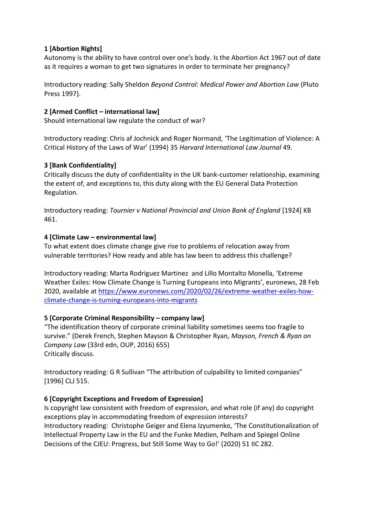# **1 [Abortion Rights]**

Autonomy is the ability to have control over one's body. Is the Abortion Act 1967 out of date as it requires a woman to get two signatures in order to terminate her pregnancy?

Introductory reading: Sally Sheldon *Beyond Control: Medical Power and Abortion Law* (Pluto Press 1997).

# **2 [Armed Conflict – international law]**

Should international law regulate the conduct of war?

Introductory reading: Chris af Jochnick and Roger Normand, 'The Legitimation of Violence: A Critical History of the Laws of War' (1994) 35 *Harvard International Law Journal* 49.

#### **3 [Bank Confidentiality]**

Critically discuss the duty of confidentiality in the UK bank-customer relationship, examining the extent of, and exceptions to, this duty along with the EU General Data Protection Regulation.

Introductory reading: *Tournier v National Provincial and Union Bank of England* [1924] KB 461.

#### **4 [Climate Law – environmental law]**

To what extent does climate change give rise to problems of relocation away from vulnerable territories? How ready and able has law been to address this challenge?

Introductory reading: Marta Rodriguez Martinez and Lillo Montalto Monella, 'Extreme Weather Exiles: How Climate Change is Turning Europeans into Migrants', euronews, 28 Feb 2020, available at [https://www.euronews.com/2020/02/26/extreme-weather-exiles-how](https://www.euronews.com/2020/02/26/extreme-weather-exiles-how-climate-change-is-turning-europeans-into-migrants)[climate-change-is-turning-europeans-into-migrants](https://www.euronews.com/2020/02/26/extreme-weather-exiles-how-climate-change-is-turning-europeans-into-migrants)

#### **5 [Corporate Criminal Responsibility – company law]**

"The identification theory of corporate criminal liability sometimes seems too fragile to survive." (Derek French, Stephen Mayson & Christopher Ryan*, Mayson, French & Ryan on Company Law* (33rd edn, OUP, 2016) 655) Critically discuss.

Introductory reading: G R Sullivan "The attribution of culpability to limited companies" [1996] CLJ 515.

#### **6 [Copyright Exceptions and Freedom of Expression]**

Is copyright law consistent with freedom of expression, and what role (if any) do copyright exceptions play in accommodating freedom of expression interests? Introductory reading: Christophe Geiger and Elena Izyumenko, 'The Constitutionalization of Intellectual Property Law in the EU and the Funke Medien, Pelham and Spiegel Online Decisions of the CJEU: Progress, but Still Some Way to Go!' (2020) 51 IIC 282.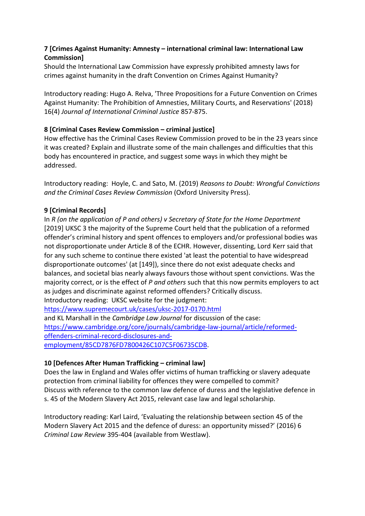# **7 [Crimes Against Humanity: Amnesty – international criminal law: International Law Commission]**

Should the International Law Commission have expressly prohibited amnesty laws for crimes against humanity in the draft Convention on Crimes Against Humanity?

Introductory reading: Hugo A. Relva, 'Three Propositions for a Future Convention on Crimes Against Humanity: The Prohibition of Amnesties, Military Courts, and Reservations' (2018) 16(4) *Journal of International Criminal Justice* 857-875.

# **8 [Criminal Cases Review Commission – criminal justice]**

How effective has the Criminal Cases Review Commission proved to be in the 23 years since it was created? Explain and illustrate some of the main challenges and difficulties that this body has encountered in practice, and suggest some ways in which they might be addressed.

Introductory reading: Hoyle, C. and Sato, M. (2019) *Reasons to Doubt: Wrongful Convictions and the Criminal Cases Review Commission* (Oxford University Press).

# **9 [Criminal Records]**

In *R (on the application of P and others) v Secretary of State for the Home Department* [2019] UKSC 3 the majority of the Supreme Court held that the publication of a reformed offender's criminal history and spent offences to employers and/or professional bodies was not disproportionate under Article 8 of the ECHR. However, dissenting, Lord Kerr said that for any such scheme to continue there existed 'at least the potential to have widespread disproportionate outcomes' (at [149]), since there do not exist adequate checks and balances, and societal bias nearly always favours those without spent convictions. Was the majority correct, or is the effect of *P and others* such that this now permits employers to act as judges and discriminate against reformed offenders? Critically discuss. Introductory reading: UKSC website for the judgment:

<https://www.supremecourt.uk/cases/uksc-2017-0170.html> and KL Marshall in the *Cambridge Law Journal* for discussion of the case: [https://www.cambridge.org/core/journals/cambridge-law-journal/article/reformed](https://www.cambridge.org/core/journals/cambridge-law-journal/article/reformed-offenders-criminal-record-disclosures-and-employment/85CD7876FD7800426C107C5F06735CDB)[offenders-criminal-record-disclosures-and](https://www.cambridge.org/core/journals/cambridge-law-journal/article/reformed-offenders-criminal-record-disclosures-and-employment/85CD7876FD7800426C107C5F06735CDB)[employment/85CD7876FD7800426C107C5F06735CDB.](https://www.cambridge.org/core/journals/cambridge-law-journal/article/reformed-offenders-criminal-record-disclosures-and-employment/85CD7876FD7800426C107C5F06735CDB)

#### **10 [Defences After Human Trafficking – criminal law]**

Does the law in England and Wales offer victims of human trafficking or slavery adequate protection from criminal liability for offences they were compelled to commit? Discuss with reference to the common law defence of duress and the legislative defence in s. 45 of the Modern Slavery Act 2015, relevant case law and legal scholarship.

Introductory reading: Karl Laird, 'Evaluating the relationship between section 45 of the Modern Slavery Act 2015 and the defence of duress: an opportunity missed?' (2016) 6 *Criminal Law Review* 395-404 (available from Westlaw).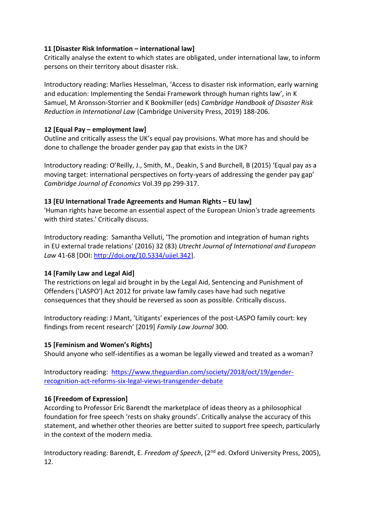#### **11 [Disaster Risk Information – international law]**

Critically analyse the extent to which states are obligated, under international law, to inform persons on their territory about disaster risk.

Introductory reading: Marlies Hesselman, 'Access to disaster risk information, early warning and education: Implementing the Sendai Framework through human rights law', in K Samuel, M Aronsson-Storrier and K Bookmiller (eds) *Cambridge Handbook of Disaster Risk Reduction in International Law* (Cambridge University Press, 2019) 188-206.

#### **12 [Equal Pay – employment law]**

Outline and critically assess the UK's equal pay provisions. What more has and should be done to challenge the broader gender pay gap that exists in the UK?

Introductory reading: O'Reilly, J., Smith, M., Deakin, S and Burchell, B (2015) 'Equal pay as a moving target: international perspectives on forty-years of addressing the gender pay gap' *Cambridge Journal of Economics* Vol.39 pp 299-317.

# **13 [EU International Trade Agreements and Human Rights – EU law]**

'Human rights have become an essential aspect of the European Union's trade agreements with third states.' Critically discuss.

Introductory reading: Samantha Velluti, 'The promotion and integration of human rights in EU external trade relations' (2016) 32 (83) *Utrecht Journal of International and European Law* 41-68 [DOI: [http://doi.org/10.5334/ujiel.342\]](http://doi.org/10.5334/ujiel.342).

# **14 [Family Law and Legal Aid]**

The restrictions on legal aid brought in by the Legal Aid, Sentencing and Punishment of Offenders ('LASPO') Act 2012 for private law family cases have had such negative consequences that they should be reversed as soon as possible. Critically discuss.

Introductory reading: J Mant, 'Litigants' experiences of the post-LASPO family court: key findings from recent research' [2019] *Family Law Journal* 300.

#### **15 [Feminism and Women's Rights]**

Should anyone who self-identifies as a woman be legally viewed and treated as a woman?

Introductory reading: [https://www.theguardian.com/society/2018/oct/19/gender](https://www.theguardian.com/society/2018/oct/19/gender-recognition-act-reforms-six-legal-views-transgender-debate)[recognition-act-reforms-six-legal-views-transgender-debate](https://www.theguardian.com/society/2018/oct/19/gender-recognition-act-reforms-six-legal-views-transgender-debate)

# **16 [Freedom of Expression]**

According to Professor Eric Barendt the marketplace of ideas theory as a philosophical foundation for free speech 'rests on shaky grounds'. Critically analyse the accuracy of this statement, and whether other theories are better suited to support free speech, particularly in the context of the modern media.

Introductory reading: Barendt, E. *Freedom of Speech*, (2nd ed. Oxford University Press, 2005), 12.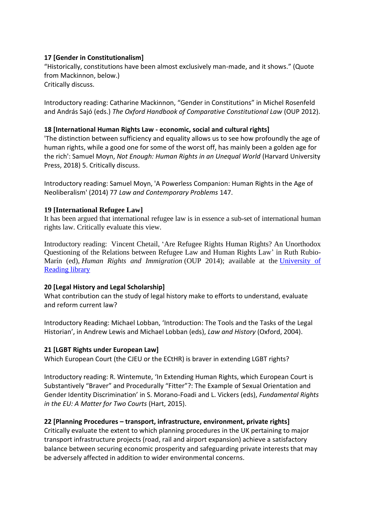#### **17 [Gender in Constitutionalism]**

"Historically, constitutions have been almost exclusively man-made, and it shows." (Quote from Mackinnon, below.) Critically discuss.

Introductory reading: Catharine Mackinnon, "Gender in Constitutions" in Michel Rosenfeld and András Sajó (eds.) *The Oxford Handbook of Comparative Constitutional Law* (OUP 2012).

#### **18 [International Human Rights Law - economic, social and cultural rights]**

'The distinction between sufficiency and equality allows us to see how profoundly the age of human rights, while a good one for some of the worst off, has mainly been a golden age for the rich': Samuel Moyn, *Not Enough: Human Rights in an Unequal World* (Harvard University Press, 2018) 5. Critically discuss.

Introductory reading: Samuel Moyn, 'A Powerless Companion: Human Rights in the Age of Neoliberalism' (2014) 77 *Law and Contemporary Problems* 147.

#### **19 [International Refugee Law]**

It has been argued that international refugee law is in essence a sub-set of international human rights law. Critically evaluate this view.

Introductory reading: Vincent Chetail, 'Are Refugee Rights Human Rights? An Unorthodox Questioning of the Relations between Refugee Law and Human Rights Law' in Ruth Rubio-Marín (ed), *Human Rights and Immigration* (OUP 2014); available at the [University](https://rdg.ent.sirsidynix.net.uk/client/en_GB/library/search/detailnonmodal/ent:$002f$002fSD_ILS$002f0$002fSD_ILS:1376926/ada?qu=Human+Rights+and+Immigration&lm=EXCL_LR2) of [Reading](https://rdg.ent.sirsidynix.net.uk/client/en_GB/library/search/detailnonmodal/ent:$002f$002fSD_ILS$002f0$002fSD_ILS:1376926/ada?qu=Human+Rights+and+Immigration&lm=EXCL_LR2) library

#### **20 [Legal History and Legal Scholarship]**

What contribution can the study of legal history make to efforts to understand, evaluate and reform current law?

Introductory Reading: Michael Lobban, 'Introduction: The Tools and the Tasks of the Legal Historian', in Andrew Lewis and Michael Lobban (eds), *Law and History* (Oxford, 2004).

#### **21 [LGBT Rights under European Law]**

Which European Court (the CJEU or the ECtHR) is braver in extending LGBT rights?

Introductory reading: R. Wintemute, 'In Extending Human Rights, which European Court is Substantively "Braver" and Procedurally "Fitter"?: The Example of Sexual Orientation and Gender Identity Discrimination' in S. Morano-Foadi and L. Vickers (eds), *Fundamental Rights in the EU: A Matter for Two Courts* (Hart, 2015).

#### **22 [Planning Procedures – transport, infrastructure, environment, private rights]**

Critically evaluate the extent to which planning procedures in the UK pertaining to major transport infrastructure projects (road, rail and airport expansion) achieve a satisfactory balance between securing economic prosperity and safeguarding private interests that may be adversely affected in addition to wider environmental concerns.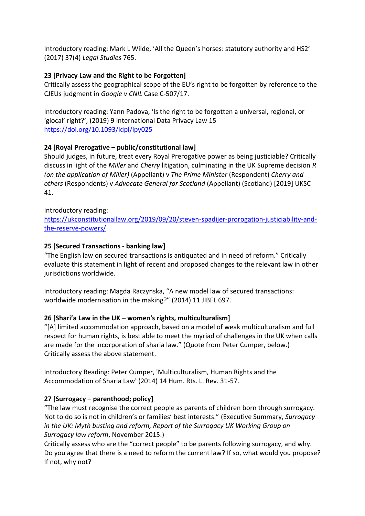Introductory reading: Mark L Wilde, 'All the Queen's horses: statutory authority and HS2' (2017) 37(4) *Legal Studies* 765.

#### **23 [Privacy Law and the Right to be Forgotten]**

Critically assess the geographical scope of the EU's right to be forgotten by reference to the CJEUs judgment in *Google v CNIL* Case C-507/17.

Introductory reading: Yann Padova, 'Is the right to be forgotten a universal, regional, or 'glocal' right?', (2019) 9 International Data Privacy Law 15 <https://doi.org/10.1093/idpl/ipy025>

# **24 [Royal Prerogative – public/constitutional law]**

Should judges, in future, treat every Royal Prerogative power as being justiciable? Critically discuss in light of the *Miller* and *Cherry* litigation, culminating in the UK Supreme decision *R (on the application of Miller)* (Appellant) v *The Prime Minister* (Respondent) *Cherry and others* (Respondents) v *Advocate General for Scotland* (Appellant) (Scotland) [2019] UKSC 41.

#### Introductory reading:

[https://ukconstitutionallaw.org/2019/09/20/steven-spadijer-prorogation-justiciability-and](https://ukconstitutionallaw.org/2019/09/20/steven-spadijer-prorogation-justiciability-and-the-reserve-powers/)[the-reserve-powers/](https://ukconstitutionallaw.org/2019/09/20/steven-spadijer-prorogation-justiciability-and-the-reserve-powers/)

# **25 [Secured Transactions - banking law]**

"The English law on secured transactions is antiquated and in need of reform." Critically evaluate this statement in light of recent and proposed changes to the relevant law in other jurisdictions worldwide.

Introductory reading: Magda Raczynska, "A new model law of secured transactions: worldwide modernisation in the making?" (2014) 11 JIBFL 697.

# **26 [Shari'a Law in the UK – women's rights, multiculturalism]**

"[A] limited accommodation approach, based on a model of weak multiculturalism and full respect for human rights, is best able to meet the myriad of challenges in the UK when calls are made for the incorporation of sharia law." (Quote from Peter Cumper, below.) Critically assess the above statement.

Introductory Reading: Peter Cumper, 'Multiculturalism, Human Rights and the Accommodation of Sharia Law' (2014) 14 Hum. Rts. L. Rev. 31-57.

# **27 [Surrogacy – parenthood; policy]**

"The law must recognise the correct people as parents of children born through surrogacy. Not to do so is not in children's or families' best interests." (Executive Summary, *Surrogacy in the UK: Myth busting and reform, Report of the Surrogacy UK Working Group on Surrogacy law reform*, November 2015.)

Critically assess who are the "correct people" to be parents following surrogacy, and why. Do you agree that there is a need to reform the current law? If so, what would you propose? If not, why not?